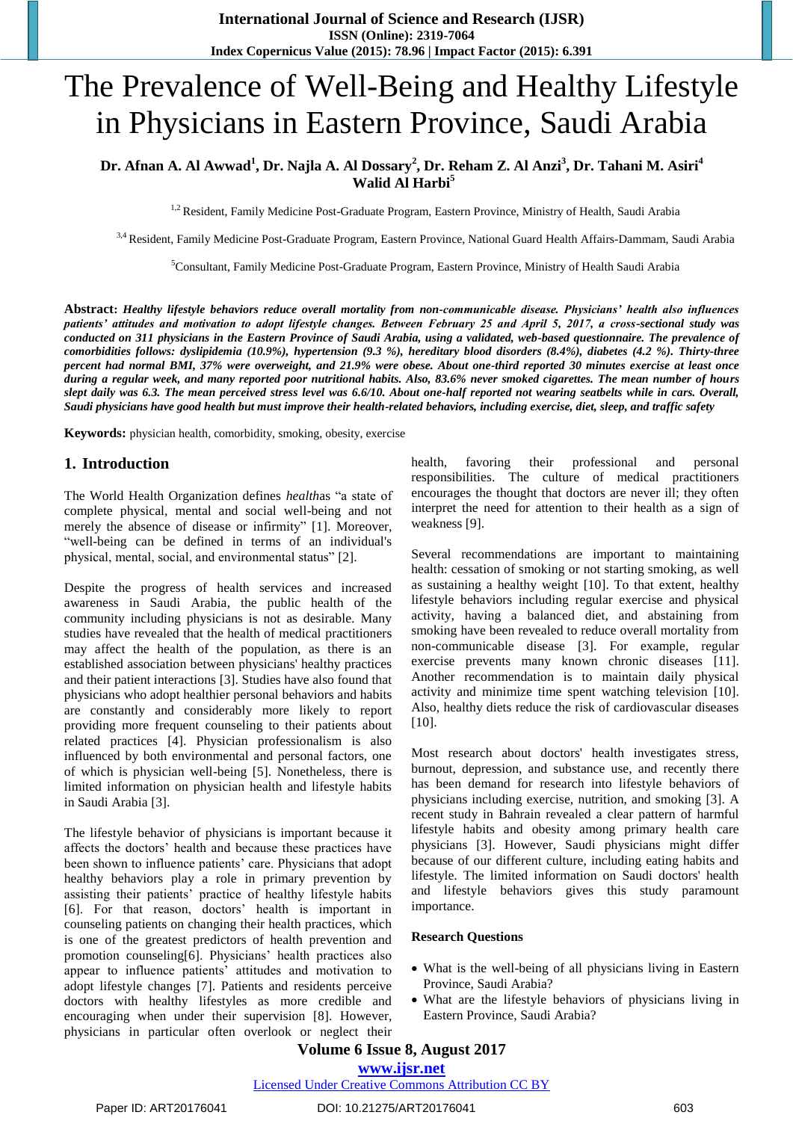# The Prevalence of Well-Being and Healthy Lifestyle in Physicians in Eastern Province, Saudi Arabia

# **Dr. Afnan A. Al Awwad<sup>1</sup> , Dr. Najla A. Al Dossary<sup>2</sup> , Dr. Reham Z. Al Anzi<sup>3</sup> , Dr. Tahani M. Asiri<sup>4</sup> Walid Al Harbi<sup>5</sup>**

<sup>1,2</sup> Resident, Family Medicine Post-Graduate Program, Eastern Province, Ministry of Health, Saudi Arabia

3,4 Resident, Family Medicine Post-Graduate Program, Eastern Province, National Guard Health Affairs-Dammam, Saudi Arabia

<sup>5</sup>Consultant, Family Medicine Post-Graduate Program, Eastern Province, Ministry of Health Saudi Arabia

**Abstract:** *Healthy lifestyle behaviors reduce overall mortality from non-communicable disease. Physicians' health also influences patients' attitudes and motivation to adopt lifestyle changes. Between February 25 and April 5, 2017, a cross-sectional study was conducted on 311 physicians in the Eastern Province of Saudi Arabia, using a validated, web-based questionnaire. The prevalence of comorbidities follows: dyslipidemia (10.9%), hypertension (9.3 %), hereditary blood disorders (8.4%), diabetes (4.2 %). Thirty-three percent had normal BMI, 37% were overweight, and 21.9% were obese. About one-third reported 30 minutes exercise at least once during a regular week, and many reported poor nutritional habits. Also, 83.6% never smoked cigarettes. The mean number of hours slept daily was 6.3. The mean perceived stress level was 6.6/10. About one-half reported not wearing seatbelts while in cars. Overall, Saudi physicians have good health but must improve their health-related behaviors, including exercise, diet, sleep, and traffic safety*

**Keywords:** physician health, comorbidity, smoking, obesity, exercise

### **1. Introduction**

The World Health Organization defines *health*as "a state of complete physical, mental and social well-being and not merely the absence of disease or infirmity" [1]. Moreover, "well-being can be defined in terms of an individual's physical, mental, social, and environmental status" [2].

Despite the progress of health services and increased awareness in Saudi Arabia, the public health of the community including physicians is not as desirable. Many studies have revealed that the health of medical practitioners may affect the health of the population, as there is an established association between physicians' healthy practices and their patient interactions [3]. Studies have also found that physicians who adopt healthier personal behaviors and habits are constantly and considerably more likely to report providing more frequent counseling to their patients about related practices [4]. Physician professionalism is also influenced by both environmental and personal factors, one of which is physician well-being [5]. Nonetheless, there is limited information on physician health and lifestyle habits in Saudi Arabia [3].

The lifestyle behavior of physicians is important because it affects the doctors' health and because these practices have been shown to influence patients' care. Physicians that adopt healthy behaviors play a role in primary prevention by assisting their patients' practice of healthy lifestyle habits [6]. For that reason, doctors' health is important in counseling patients on changing their health practices, which is one of the greatest predictors of health prevention and promotion counseling[6]. Physicians' health practices also appear to influence patients' attitudes and motivation to adopt lifestyle changes [7]. Patients and residents perceive doctors with healthy lifestyles as more credible and encouraging when under their supervision [8]. However, physicians in particular often overlook or neglect their

health, favoring their professional and personal responsibilities. The culture of medical practitioners encourages the thought that doctors are never ill; they often interpret the need for attention to their health as a sign of weakness [9].

Several recommendations are important to maintaining health: cessation of smoking or not starting smoking, as well as sustaining a healthy weight [10]. To that extent, healthy lifestyle behaviors including regular exercise and physical activity, having a balanced diet, and abstaining from smoking have been revealed to reduce overall mortality from non-communicable disease [3]. For example, regular exercise prevents many known chronic diseases [11]. Another recommendation is to maintain daily physical activity and minimize time spent watching television [10]. Also, healthy diets reduce the risk of cardiovascular diseases [10].

Most research about doctors' health investigates stress, burnout, depression, and substance use, and recently there has been demand for research into lifestyle behaviors of physicians including exercise, nutrition, and smoking [3]. A recent study in Bahrain revealed a clear pattern of harmful lifestyle habits and obesity among primary health care physicians [3]. However, Saudi physicians might differ because of our different culture, including eating habits and lifestyle. The limited information on Saudi doctors' health and lifestyle behaviors gives this study paramount importance.

#### **Research Questions**

- What is the well-being of all physicians living in Eastern Province, Saudi Arabia?
- What are the lifestyle behaviors of physicians living in Eastern Province, Saudi Arabia?

# **Volume 6 Issue 8, August 2017**

**<www.ijsr.net>**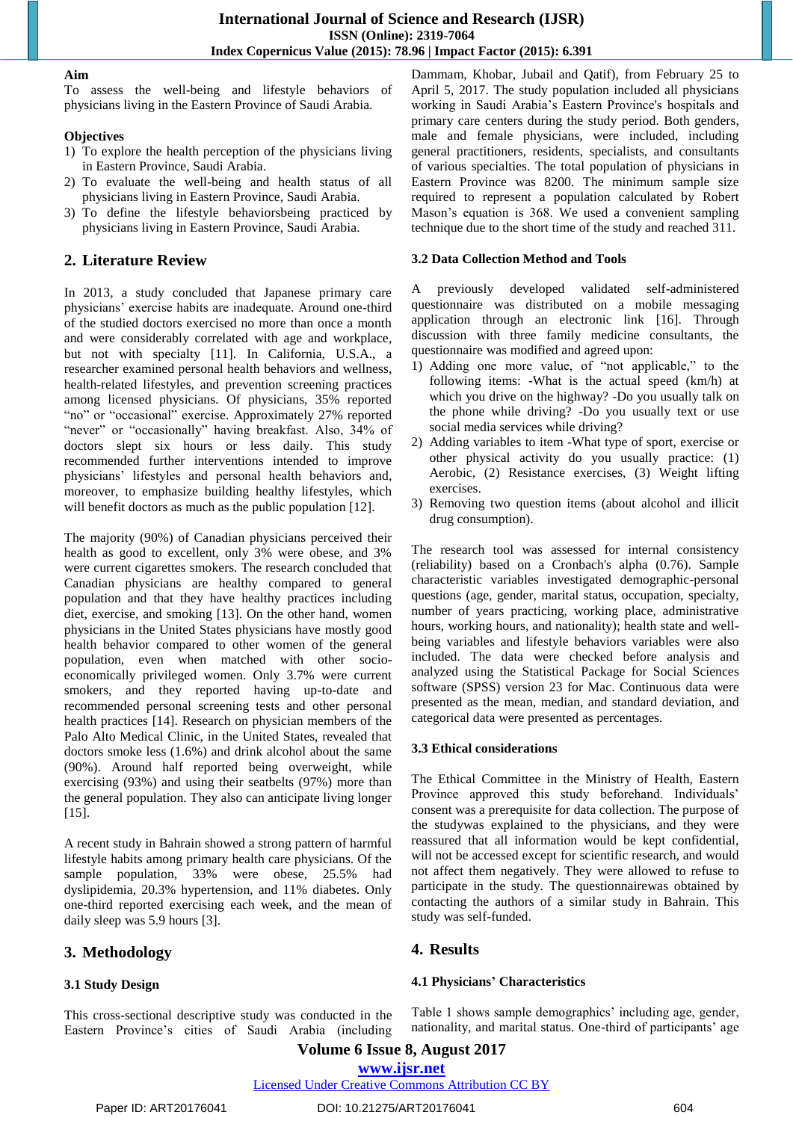### **Aim**

To assess the well-being and lifestyle behaviors of physicians living in the Eastern Province of Saudi Arabia.

### **Objectives**

- 1) To explore the health perception of the physicians living in Eastern Province, Saudi Arabia.
- 2) To evaluate the well-being and health status of all physicians living in Eastern Province, Saudi Arabia.
- 3) To define the lifestyle behaviorsbeing practiced by physicians living in Eastern Province, Saudi Arabia.

# **2. Literature Review**

In 2013, a study concluded that Japanese primary care physicians' exercise habits are inadequate. Around one-third of the studied doctors exercised no more than once a month and were considerably correlated with age and workplace, but not with specialty [11]. In California, U.S.A., a researcher examined personal health behaviors and wellness, health-related lifestyles, and prevention screening practices among licensed physicians. Of physicians, 35% reported "no" or "occasional" exercise. Approximately 27% reported "never" or "occasionally" having breakfast. Also,  $34\%$  of doctors slept six hours or less daily. This study recommended further interventions intended to improve physicians' lifestyles and personal health behaviors and, moreover, to emphasize building healthy lifestyles, which will benefit doctors as much as the public population [12].

The majority (90%) of Canadian physicians perceived their health as good to excellent, only 3% were obese, and 3% were current cigarettes smokers. The research concluded that Canadian physicians are healthy compared to general population and that they have healthy practices including diet, exercise, and smoking [13]. On the other hand, women physicians in the United States physicians have mostly good health behavior compared to other women of the general population, even when matched with other socioeconomically privileged women. Only 3.7% were current smokers, and they reported having up-to-date and recommended personal screening tests and other personal health practices [14]. Research on physician members of the Palo Alto Medical Clinic, in the United States, revealed that doctors smoke less (1.6%) and drink alcohol about the same (90%). Around half reported being overweight, while exercising (93%) and using their seatbelts (97%) more than the general population. They also can anticipate living longer [15].

A recent study in Bahrain showed a strong pattern of harmful lifestyle habits among primary health care physicians. Of the sample population, 33% were obese, 25.5% had dyslipidemia, 20.3% hypertension, and 11% diabetes. Only one-third reported exercising each week, and the mean of daily sleep was 5.9 hours [3].

# **3. Methodology**

### **3.1 Study Design**

This cross-sectional descriptive study was conducted in the Eastern Province's cities of Saudi Arabia (including

Dammam, Khobar, Jubail and Qatif), from February 25 to April 5, 2017. The study population included all physicians working in Saudi Arabia's Eastern Province's hospitals and primary care centers during the study period. Both genders, male and female physicians, were included, including general practitioners, residents, specialists, and consultants of various specialties. The total population of physicians in Eastern Province was 8200. The minimum sample size required to represent a population calculated by Robert Mason's equation is 368. We used a convenient sampling technique due to the short time of the study and reached 311.

### **3.2 Data Collection Method and Tools**

A previously developed validated self-administered questionnaire was distributed on a mobile messaging application through an electronic link [16]. Through discussion with three family medicine consultants, the questionnaire was modified and agreed upon:

- 1) Adding one more value, of "not applicable," to the following items: -What is the actual speed (km/h) at which you drive on the highway? -Do you usually talk on the phone while driving? -Do you usually text or use social media services while driving?
- 2) Adding variables to item -What type of sport, exercise or other physical activity do you usually practice: (1) Aerobic, (2) Resistance exercises, (3) Weight lifting exercises.
- 3) Removing two question items (about alcohol and illicit drug consumption).

The research tool was assessed for internal consistency (reliability) based on a Cronbach's alpha (0.76). Sample characteristic variables investigated demographic-personal questions (age, gender, marital status, occupation, specialty, number of years practicing, working place, administrative hours, working hours, and nationality); health state and wellbeing variables and lifestyle behaviors variables were also included. The data were checked before analysis and analyzed using the Statistical Package for Social Sciences software (SPSS) version 23 for Mac. Continuous data were presented as the mean, median, and standard deviation, and categorical data were presented as percentages.

### **3.3 Ethical considerations**

The Ethical Committee in the Ministry of Health, Eastern Province approved this study beforehand. Individuals' consent was a prerequisite for data collection. The purpose of the studywas explained to the physicians, and they were reassured that all information would be kept confidential, will not be accessed except for scientific research, and would not affect them negatively. They were allowed to refuse to participate in the study. The questionnairewas obtained by contacting the authors of a similar study in Bahrain. This study was self-funded.

# **4. Results**

### **4.1 Physicians' Characteristics**

Table 1 shows sample demographics' including age, gender, nationality, and marital status. One-third of participants' age

**Volume 6 Issue 8, August 2017**

### **<www.ijsr.net>**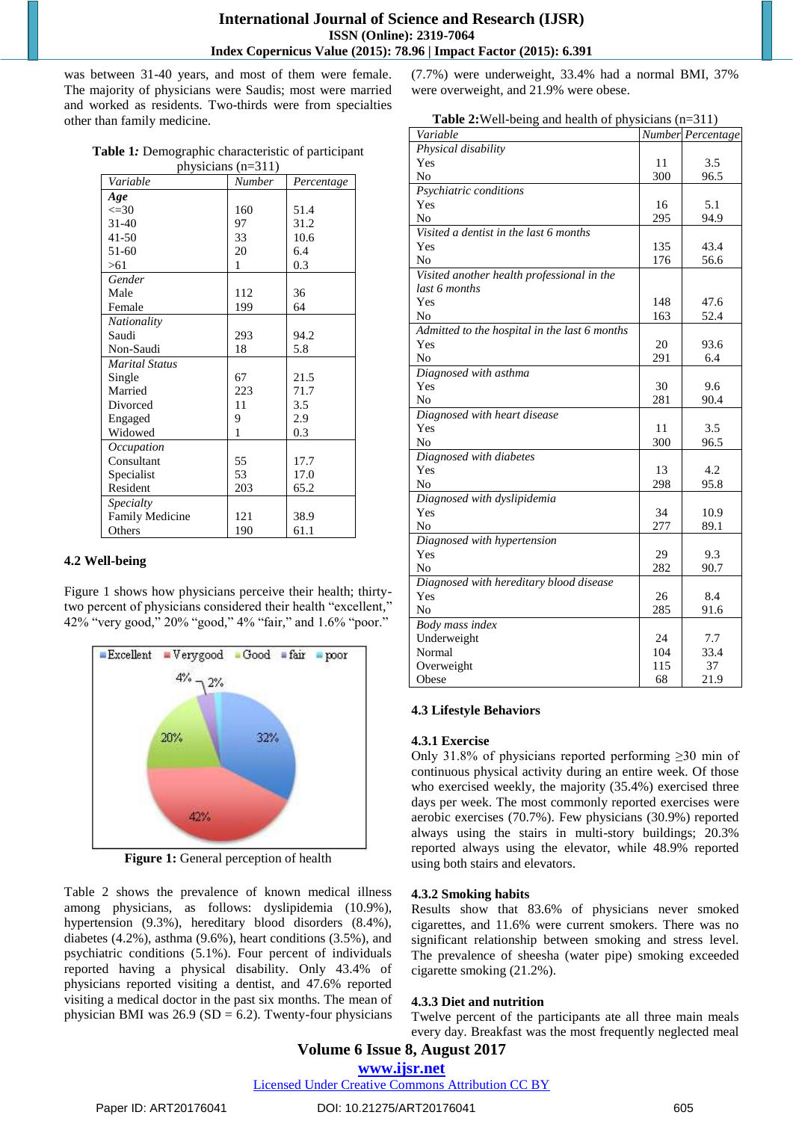was between 31-40 years, and most of them were female. The majority of physicians were Saudis; most were married and worked as residents. Two-thirds were from specialties other than family medicine.

| Table 1: Demographic characteristic of participant |                  |  |
|----------------------------------------------------|------------------|--|
|                                                    | $minima (n-211)$ |  |

| physicians $(n=311)$   |               |            |  |
|------------------------|---------------|------------|--|
| Variable               | <b>Number</b> | Percentage |  |
| Age                    |               |            |  |
| $\leq 30$              | 160           | 51.4       |  |
| $31 - 40$              | 97            | 31.2       |  |
| $41 - 50$              | 33            | 10.6       |  |
| $51-60$                | 20            | 6.4        |  |
| >61                    | 1             | 0.3        |  |
| Gender                 |               |            |  |
| Male                   | 112           | 36         |  |
| Female                 | 199           | 64         |  |
| Nationality            |               |            |  |
| Saudi                  | 293           | 94.2       |  |
| Non-Saudi              | 18            | 5.8        |  |
| <b>Marital Status</b>  |               |            |  |
| Single                 | 67            | 21.5       |  |
| Married                | 223           | 71.7       |  |
| Divorced               | 11            | 3.5        |  |
| Engaged                | 9             | 2.9        |  |
| Widowed                | 1             | 0.3        |  |
| Occupation             |               |            |  |
| Consultant             | 55            | 17.7       |  |
| Specialist             | 53            | 17.0       |  |
| Resident               | 203           | 65.2       |  |
| Specialty              |               |            |  |
| <b>Family Medicine</b> | 121           | 38.9       |  |
| Others                 | 190           | 61.1       |  |

### **4.2 Well-being**

Figure 1 shows how physicians perceive their health; thirtytwo percent of physicians considered their health "excellent," 42% "very good," 20% "good," 4% "fair," and 1.6% "poor."



**Figure 1:** General perception of health

Table 2 shows the prevalence of known medical illness among physicians, as follows: dyslipidemia (10.9%), hypertension (9.3%), hereditary blood disorders (8.4%), diabetes (4.2%), asthma (9.6%), heart conditions (3.5%), and psychiatric conditions (5.1%). Four percent of individuals reported having a physical disability. Only 43.4% of physicians reported visiting a dentist, and 47.6% reported visiting a medical doctor in the past six months. The mean of physician BMI was  $26.9$  (SD = 6.2). Twenty-four physicians (7.7%) were underweight, 33.4% had a normal BMI, 37% were overweight, and 21.9% were obese.

| Variable                                            |     | Number Percentage |
|-----------------------------------------------------|-----|-------------------|
| Physical disability                                 |     |                   |
| Yes                                                 | 11  | 3.5               |
| No                                                  | 300 | 96.5              |
| Psychiatric conditions                              |     |                   |
| Yes                                                 | 16  | 5.1               |
| No                                                  | 295 | 94.9              |
| Visited a dentist in the last $\overline{6}$ months |     |                   |
| Yes                                                 | 135 | 43.4              |
| No                                                  | 176 | 56.6              |
| Visited another health professional in the          |     |                   |
| last 6 months                                       |     |                   |
| Yes                                                 | 148 | 47.6              |
| No                                                  | 163 | 52.4              |
| Admitted to the hospital in the last 6 months       |     |                   |
| Yes                                                 | 20  | 93.6              |
| No                                                  | 291 | 6.4               |
| Diagnosed with asthma                               |     |                   |
| Yes                                                 | 30  | 9.6               |
| N <sub>0</sub>                                      | 281 | 90.4              |
| Diagnosed with heart disease                        |     |                   |
| Yes                                                 | 11  | 3.5               |
| No                                                  | 300 | 96.5              |
| Diagnosed with diabetes                             |     |                   |
| Yes                                                 | 13  | 4.2               |
| No                                                  | 298 | 95.8              |
| Diagnosed with dyslipidemia                         |     |                   |
| Yes                                                 | 34  | 10.9              |
| No                                                  | 277 | 89.1              |
| Diagnosed with hypertension                         |     |                   |
| Yes                                                 | 29  | 9.3               |
| No                                                  | 282 | 90.7              |
| Diagnosed with hereditary blood disease             |     |                   |
| Yes                                                 | 26  | 8.4               |
| No                                                  | 285 | 91.6              |
| Body mass index                                     |     |                   |
| Underweight                                         | 24  | 7.7               |
| Normal                                              | 104 | 33.4              |
| Overweight                                          | 115 | 37                |
| Obese                                               | 68  | 21.9              |

### **4.3 Lifestyle Behaviors**

#### **4.3.1 Exercise**

Only 31.8% of physicians reported performing  $\geq 30$  min of continuous physical activity during an entire week. Of those who exercised weekly, the majority (35.4%) exercised three days per week. The most commonly reported exercises were aerobic exercises (70.7%). Few physicians (30.9%) reported always using the stairs in multi-story buildings; 20.3% reported always using the elevator, while 48.9% reported using both stairs and elevators.

### **4.3.2 Smoking habits**

Results show that 83.6% of physicians never smoked cigarettes, and 11.6% were current smokers. There was no significant relationship between smoking and stress level. The prevalence of sheesha (water pipe) smoking exceeded cigarette smoking (21.2%).

#### **4.3.3 Diet and nutrition**

Twelve percent of the participants ate all three main meals every day. Breakfast was the most frequently neglected meal

# **Volume 6 Issue 8, August 2017**

**<www.ijsr.net>**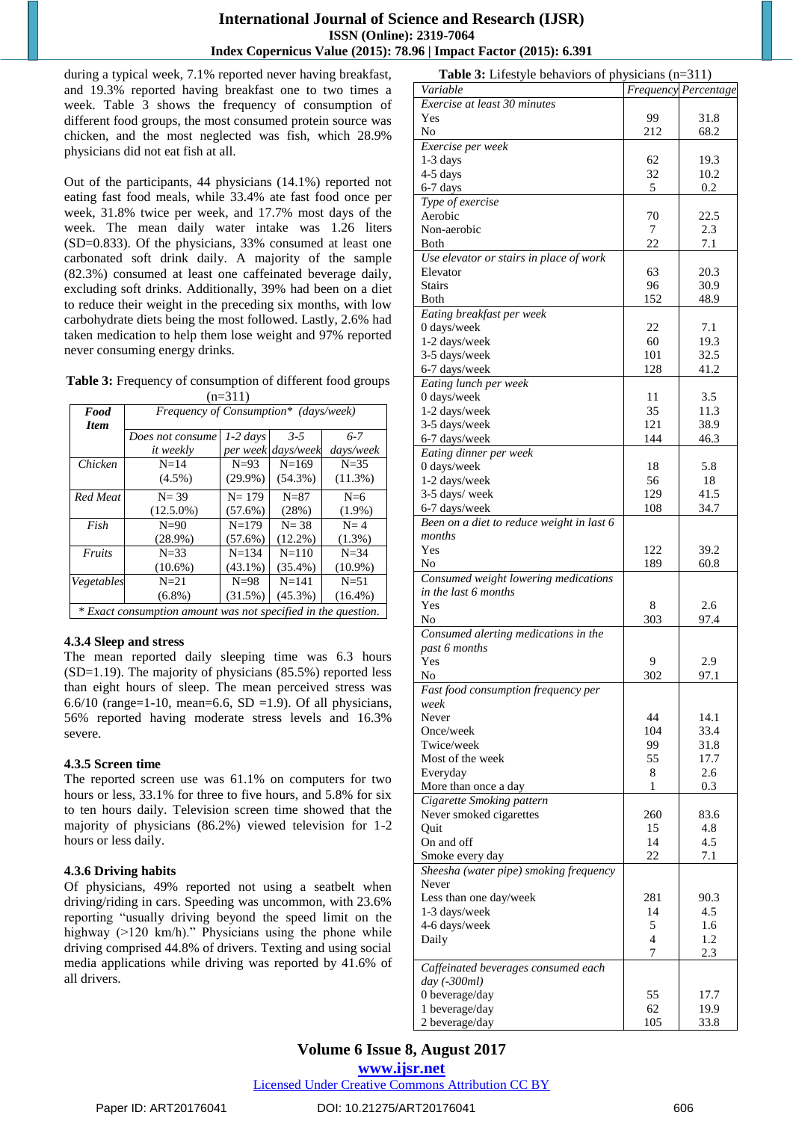### **International Journal of Science and Research (IJSR) ISSN (Online): 2319-7064 Index Copernicus Value (2015): 78.96 | Impact Factor (2015): 6.391**

during a typical week, 7.1% reported never having breakfast, and 19.3% reported having breakfast one to two times a week. Table 3 shows the frequency of consumption of different food groups, the most consumed protein source was chicken, and the most neglected was fish, which 28.9% physicians did not eat fish at all.

Out of the participants, 44 physicians (14.1%) reported not eating fast food meals, while 33.4% ate fast food once per week, 31.8% twice per week, and 17.7% most days of the week. The mean daily water intake was 1.26 liters (SD=0.833). Of the physicians, 33% consumed at least one carbonated soft drink daily. A majority of the sample (82.3%) consumed at least one caffeinated beverage daily, excluding soft drinks. Additionally, 39% had been on a diet to reduce their weight in the preceding six months, with low carbohydrate diets being the most followed. Lastly, 2.6% had taken medication to help them lose weight and 97% reported never consuming energy drinks.

**Table 3:** Frequency of consumption of different food groups  $(n=311)$ 

| Food                                                         | Frequency of Consumption* (days/week) |            |            |            |
|--------------------------------------------------------------|---------------------------------------|------------|------------|------------|
| <b>Item</b>                                                  |                                       |            |            |            |
|                                                              | Does not consume                      | $1-2$ days | $3 - 5$    | $6 - 7$    |
|                                                              | <i>it</i> weekly                      | per week   | days/week  | days/week  |
| Chicken                                                      | $N=14$                                | $N=93$     | $N = 169$  | $N = 35$   |
|                                                              | $(4.5\%)$                             | $(29.9\%)$ | $(54.3\%)$ | $(11.3\%)$ |
| Red Meat                                                     | $N = 39$                              | $N = 179$  | $N=87$     | $N=6$      |
|                                                              | $(12.5.0\%)$                          | $(57.6\%)$ | (28%)      | $(1.9\%)$  |
| Fish                                                         | $N=90$                                | $N = 179$  | $N = 38$   | $N = 4$    |
|                                                              | $(28.9\%)$                            | $(57.6\%)$ | $(12.2\%)$ | $(1.3\%)$  |
| Fruits                                                       | $N = 33$                              | $N = 134$  | $N = 110$  | $N = 34$   |
|                                                              | $(10.6\%)$                            | $(43.1\%)$ | $(35.4\%)$ | $(10.9\%)$ |
| Vegetables                                                   | $N=21$                                | $N=98$     | $N = 141$  | $N = 51$   |
|                                                              | $(6.8\%)$                             | $(31.5\%)$ | $(45.3\%)$ | $(16.4\%)$ |
| * Exact consumption amount was not specified in the question |                                       |            |            |            |

*\* Exact consumption amount was not specified in the question.*

# **4.3.4 Sleep and stress**

The mean reported daily sleeping time was 6.3 hours (SD=1.19). The majority of physicians (85.5%) reported less than eight hours of sleep. The mean perceived stress was 6.6/10 (range=1-10, mean=6.6, SD =1.9). Of all physicians, 56% reported having moderate stress levels and 16.3% severe.

### **4.3.5 Screen time**

The reported screen use was 61.1% on computers for two hours or less, 33.1% for three to five hours, and 5.8% for six to ten hours daily. Television screen time showed that the majority of physicians (86.2%) viewed television for 1-2 hours or less daily.

### **4.3.6 Driving habits**

Of physicians, 49% reported not using a seatbelt when driving/riding in cars. Speeding was uncommon, with 23.6% reporting "usually driving beyond the speed limit on the highway (>120 km/h)." Physicians using the phone while driving comprised 44.8% of drivers. Texting and using social media applications while driving was reported by 41.6% of all drivers.

| <b>Table 3:</b> Lifestyle behaviors of physicians $(n=311)$ |     |                      |
|-------------------------------------------------------------|-----|----------------------|
| Variable                                                    |     | Frequency Percentage |
| Exercise at least 30 minutes                                |     |                      |
| Yes                                                         | 99  | 31.8                 |
| No                                                          | 212 | 68.2                 |
| Exercise per week                                           |     |                      |
| $1-3$ days                                                  | 62  | 19.3                 |
|                                                             |     |                      |
| $4-5$ days                                                  | 32  | 10.2                 |
| 6-7 days                                                    | 5   | 0.2                  |
| Type of exercise                                            |     |                      |
| Aerobic                                                     | 70  | 22.5                 |
| Non-aerobic                                                 | 7   | 2.3                  |
| Both                                                        | 22  | 7.1                  |
| Use elevator or stairs in place of work                     |     |                      |
| Elevator                                                    | 63  | 20.3                 |
| <b>Stairs</b>                                               | 96  | 30.9                 |
| <b>Both</b>                                                 | 152 | 48.9                 |
|                                                             |     |                      |
| Eating breakfast per week                                   |     |                      |
| 0 days/week                                                 | 22  | 7.1                  |
| 1-2 days/week                                               | 60  | 19.3                 |
| 3-5 days/week                                               | 101 | 32.5                 |
| 6-7 days/week                                               | 128 | 41.2                 |
| Eating lunch per week                                       |     |                      |
| 0 days/week                                                 | 11  | 3.5                  |
| 1-2 days/week                                               | 35  | 11.3                 |
| 3-5 days/week                                               | 121 | 38.9                 |
| 6-7 days/week                                               | 144 | 46.3                 |
|                                                             |     |                      |
| Eating dinner per week                                      |     |                      |
| 0 days/week                                                 | 18  | 5.8                  |
| 1-2 days/week                                               | 56  | 18                   |
| 3-5 days/ week                                              | 129 | 41.5                 |
| 6-7 days/week                                               | 108 | 34.7                 |
| Been on a diet to reduce weight in last 6                   |     |                      |
| months                                                      |     |                      |
| Yes                                                         | 122 | 39.2                 |
| No                                                          | 189 | 60.8                 |
| Consumed weight lowering medications                        |     |                      |
| in the last 6 months                                        |     |                      |
| Yes                                                         |     |                      |
|                                                             | 8   | 2.6                  |
| No                                                          | 303 | 97.4                 |
| Consumed alerting medications in the                        |     |                      |
| past 6 months                                               |     |                      |
| Yes                                                         | 9   | 2.9                  |
| No                                                          | 302 | 97.1                 |
| Fast food consumption frequency per                         |     |                      |
| week                                                        |     |                      |
| Never                                                       | 44  | 14.1                 |
| Once/week                                                   | 104 | 33.4                 |
| Twice/week                                                  | 99  | 31.8                 |
|                                                             | 55  |                      |
| Most of the week                                            |     | 17.7                 |
| Everyday                                                    | 8   | 2.6                  |
| More than once a day                                        | 1   | 0.3                  |
| Cigarette Smoking pattern                                   |     |                      |
| Never smoked cigarettes                                     | 260 | 83.6                 |
| Quit                                                        | 15  | 4.8                  |
| On and off                                                  | 14  | 4.5                  |
| Smoke every day                                             | 22  | 7.1                  |
| Sheesha (water pipe) smoking frequency                      |     |                      |
| Never                                                       |     |                      |
| Less than one day/week                                      | 281 | 90.3                 |
|                                                             |     |                      |
| 1-3 days/week                                               | 14  | 4.5                  |
| 4-6 days/week                                               | 5   | 1.6                  |
| Daily                                                       | 4   | 1.2                  |
|                                                             | 7   | 2.3                  |
| Caffeinated beverages consumed each                         |     |                      |
| day (-300ml)                                                |     |                      |
| 0 beverage/day                                              | 55  | 17.7                 |
| 1 beverage/day                                              | 62  | 19.9                 |
| 2 beverage/day                                              | 105 | 33.8                 |
|                                                             |     |                      |

# **Volume 6 Issue 8, August 2017**

**<www.ijsr.net>**

[Licensed Under Creative Commons Attribution CC BY](http://creativecommons.org/licenses/by/4.0/)

### Paper ID: ART20176041 DOI: 10.21275/ART20176041 606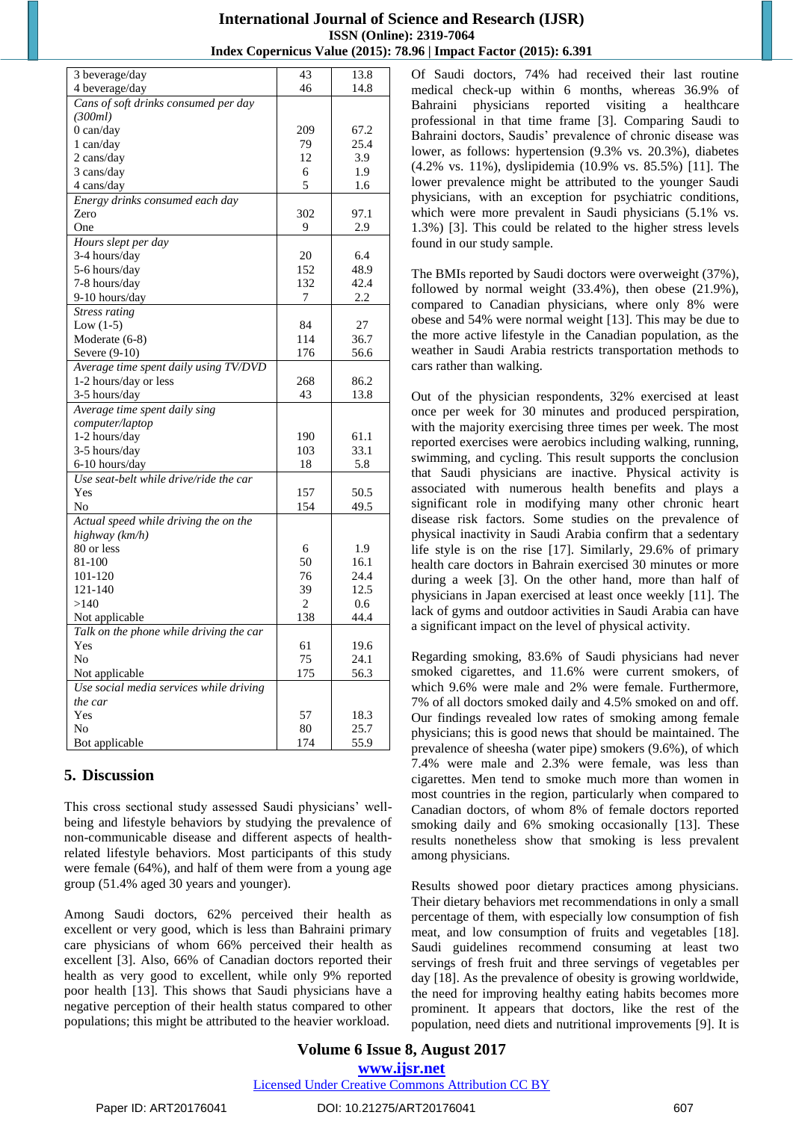# **International Journal of Science and Research (IJSR) ISSN (Online): 2319-7064 Index Copernicus Value (2015): 78.96 | Impact Factor (2015): 6.391**

| 3 beverage/day                          | 43             | 13.8 |
|-----------------------------------------|----------------|------|
| 4 beverage/day                          | 46             | 14.8 |
| Cans of soft drinks consumed per day    |                |      |
| (300ml)                                 |                |      |
| $0$ can/day                             | 209            | 67.2 |
| $1$ can/day                             | 79             | 25.4 |
| 2 cans/day                              | 12             | 3.9  |
| 3 cans/day                              | 6              | 1.9  |
| $4 \text{ cans/day}$                    | 5              | 1.6  |
| Energy drinks consumed each day         |                |      |
| Zero                                    | 302            | 97.1 |
| One                                     | 9              | 2.9  |
| Hours slept per day                     |                |      |
| 3-4 hours/day                           | 20             | 6.4  |
| 5-6 hours/day                           | 152            | 48.9 |
| 7-8 hours/day                           | 132            | 42.4 |
| 9-10 hours/day                          | 7              | 2.2  |
| <b>Stress rating</b>                    |                |      |
| Low $(1-5)$                             | 84             | 27   |
| Moderate (6-8)                          | 114            | 36.7 |
| Severe (9-10)                           | 176            | 56.6 |
| Average time spent daily using TV/DVD   |                |      |
| 1-2 hours/day or less                   | 268            | 86.2 |
| 3-5 hours/day                           | 43             | 13.8 |
| Average time spent daily sing           |                |      |
| computer/laptop                         |                |      |
| 1-2 hours/day                           | 190            | 61.1 |
| 3-5 hours/day                           | 103            | 33.1 |
| 6-10 hours/day                          | 18             | 5.8  |
| Use seat-belt while drive/ride the car  |                |      |
| Yes                                     | 157            | 50.5 |
| No                                      | 154            | 49.5 |
| Actual speed while driving the on the   |                |      |
| highway (km/h)                          |                |      |
| 80 or less                              | 6              | 1.9  |
| 81-100                                  | 50             | 16.1 |
| 101-120                                 | 76             | 24.4 |
| 121-140                                 | 39             | 12.5 |
| >140                                    | $\overline{2}$ | 0.6  |
| Not applicable                          | 138            | 44.4 |
| Talk on the phone while driving the car |                |      |
| Yes                                     | 61             | 19.6 |
| N <sub>o</sub>                          | 75             | 24.1 |
| Not applicable                          | 175            | 56.3 |
| Use social media services while driving |                |      |
| the car                                 |                |      |
| Yes                                     | 57             | 18.3 |
| N <sub>o</sub>                          | 80             | 25.7 |
| Bot applicable                          | 174            | 55.9 |

# **5. Discussion**

This cross sectional study assessed Saudi physicians' wellbeing and lifestyle behaviors by studying the prevalence of non-communicable disease and different aspects of healthrelated lifestyle behaviors. Most participants of this study were female (64%), and half of them were from a young age group (51.4% aged 30 years and younger).

Among Saudi doctors, 62% perceived their health as excellent or very good, which is less than Bahraini primary care physicians of whom 66% perceived their health as excellent [3]. Also, 66% of Canadian doctors reported their health as very good to excellent, while only 9% reported poor health [13]. This shows that Saudi physicians have a negative perception of their health status compared to other populations; this might be attributed to the heavier workload.

Of Saudi doctors, 74% had received their last routine medical check-up within 6 months, whereas 36.9% of Bahraini physicians reported visiting a healthcare professional in that time frame [3]. Comparing Saudi to Bahraini doctors, Saudis' prevalence of chronic disease was lower, as follows: hypertension (9.3% vs. 20.3%), diabetes (4.2% vs. 11%), dyslipidemia (10.9% vs. 85.5%) [11]. The lower prevalence might be attributed to the younger Saudi physicians, with an exception for psychiatric conditions, which were more prevalent in Saudi physicians  $(5.1\%$  vs. 1.3%) [3]. This could be related to the higher stress levels found in our study sample.

The BMIs reported by Saudi doctors were overweight (37%), followed by normal weight (33.4%), then obese (21.9%), compared to Canadian physicians, where only 8% were obese and 54% were normal weight [13]. This may be due to the more active lifestyle in the Canadian population, as the weather in Saudi Arabia restricts transportation methods to cars rather than walking.

Out of the physician respondents, 32% exercised at least once per week for 30 minutes and produced perspiration, with the majority exercising three times per week. The most reported exercises were aerobics including walking, running, swimming, and cycling. This result supports the conclusion that Saudi physicians are inactive. Physical activity is associated with numerous health benefits and plays a significant role in modifying many other chronic heart disease risk factors. Some studies on the prevalence of physical inactivity in Saudi Arabia confirm that a sedentary life style is on the rise [17]. Similarly, 29.6% of primary health care doctors in Bahrain exercised 30 minutes or more during a week [3]. On the other hand, more than half of physicians in Japan exercised at least once weekly [11]. The lack of gyms and outdoor activities in Saudi Arabia can have a significant impact on the level of physical activity.

Regarding smoking, 83.6% of Saudi physicians had never smoked cigarettes, and 11.6% were current smokers, of which 9.6% were male and 2% were female. Furthermore, 7% of all doctors smoked daily and 4.5% smoked on and off. Our findings revealed low rates of smoking among female physicians; this is good news that should be maintained. The prevalence of sheesha (water pipe) smokers (9.6%), of which 7.4% were male and 2.3% were female, was less than cigarettes. Men tend to smoke much more than women in most countries in the region, particularly when compared to Canadian doctors, of whom 8% of female doctors reported smoking daily and 6% smoking occasionally [13]. These results nonetheless show that smoking is less prevalent among physicians.

Results showed poor dietary practices among physicians. Their dietary behaviors met recommendations in only a small percentage of them, with especially low consumption of fish meat, and low consumption of fruits and vegetables [18]. Saudi guidelines recommend consuming at least two servings of fresh fruit and three servings of vegetables per day [18]. As the prevalence of obesity is growing worldwide, the need for improving healthy eating habits becomes more prominent. It appears that doctors, like the rest of the population, need diets and nutritional improvements [9]. It is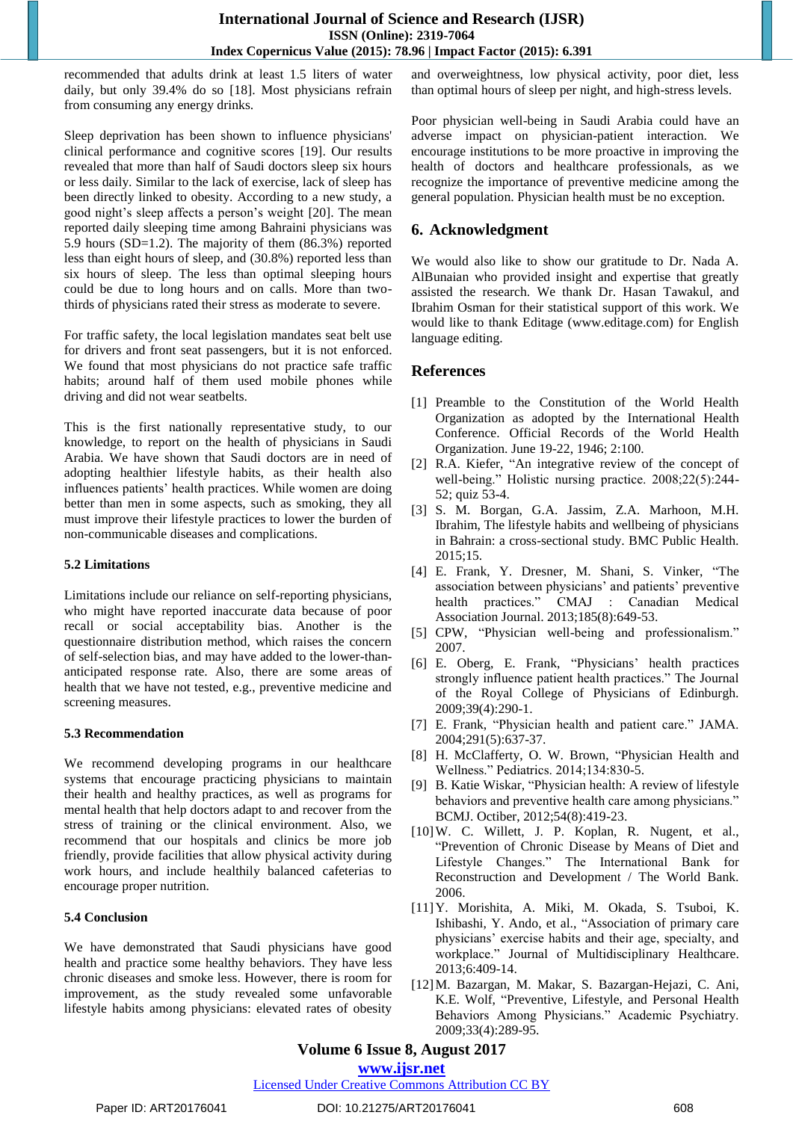recommended that adults drink at least 1.5 liters of water daily, but only 39.4% do so [18]. Most physicians refrain from consuming any energy drinks.

Sleep deprivation has been shown to influence physicians' clinical performance and cognitive scores [19]. Our results revealed that more than half of Saudi doctors sleep six hours or less daily. Similar to the lack of exercise, lack of sleep has been directly linked to obesity. According to a new study, a good night's sleep affects a person's weight [20]. The mean reported daily sleeping time among Bahraini physicians was 5.9 hours (SD=1.2). The majority of them (86.3%) reported less than eight hours of sleep, and (30.8%) reported less than six hours of sleep. The less than optimal sleeping hours could be due to long hours and on calls. More than twothirds of physicians rated their stress as moderate to severe.

For traffic safety, the local legislation mandates seat belt use for drivers and front seat passengers, but it is not enforced. We found that most physicians do not practice safe traffic habits; around half of them used mobile phones while driving and did not wear seatbelts.

This is the first nationally representative study, to our knowledge, to report on the health of physicians in Saudi Arabia. We have shown that Saudi doctors are in need of adopting healthier lifestyle habits, as their health also influences patients' health practices. While women are doing better than men in some aspects, such as smoking, they all must improve their lifestyle practices to lower the burden of non-communicable diseases and complications.

### **5.2 Limitations**

Limitations include our reliance on self-reporting physicians, who might have reported inaccurate data because of poor recall or social acceptability bias. Another is the questionnaire distribution method, which raises the concern of self-selection bias, and may have added to the lower-thananticipated response rate. Also, there are some areas of health that we have not tested, e.g., preventive medicine and screening measures.

### **5.3 Recommendation**

We recommend developing programs in our healthcare systems that encourage practicing physicians to maintain their health and healthy practices, as well as programs for mental health that help doctors adapt to and recover from the stress of training or the clinical environment. Also, we recommend that our hospitals and clinics be more job friendly, provide facilities that allow physical activity during work hours, and include healthily balanced cafeterias to encourage proper nutrition.

### **5.4 Conclusion**

We have demonstrated that Saudi physicians have good health and practice some healthy behaviors. They have less chronic diseases and smoke less. However, there is room for improvement, as the study revealed some unfavorable lifestyle habits among physicians: elevated rates of obesity

and overweightness, low physical activity, poor diet, less than optimal hours of sleep per night, and high-stress levels.

Poor physician well-being in Saudi Arabia could have an adverse impact on physician-patient interaction. We encourage institutions to be more proactive in improving the health of doctors and healthcare professionals, as we recognize the importance of preventive medicine among the general population. Physician health must be no exception.

# **6. Acknowledgment**

We would also like to show our gratitude to Dr. Nada A. AlBunaian who provided insight and expertise that greatly assisted the research. We thank Dr. Hasan Tawakul, and Ibrahim Osman for their statistical support of this work. We would like to thank Editage (www.editage.com) for English language editing.

# **References**

- [1] Preamble to the Constitution of the World Health Organization as adopted by the International Health Conference. Official Records of the World Health Organization. June 19-22, 1946; 2:100.
- [2] R.A. Kiefer, "An integrative review of the concept of well-being." Holistic nursing practice. 2008;22(5):244- 52; quiz 53-4.
- [3] S. M. Borgan, G.A. Jassim, Z.A. Marhoon, M.H. Ibrahim, The lifestyle habits and wellbeing of physicians in Bahrain: a cross-sectional study. BMC Public Health. 2015;15.
- [4] E. Frank, Y. Dresner, M. Shani, S. Vinker, "The association between physicians' and patients' preventive health practices." CMAJ : Canadian Medical Association Journal. 2013;185(8):649-53.
- [5] CPW, "Physician well-being and professionalism." 2007.
- [6] E. Oberg, E. Frank, "Physicians' health practices strongly influence patient health practices." The Journal of the Royal College of Physicians of Edinburgh. 2009;39(4):290-1.
- [7] E. Frank, "Physician health and patient care." JAMA. 2004;291(5):637-37.
- [8] H. McClafferty, O. W. Brown, "Physician Health and Wellness." Pediatrics. 2014;134:830-5.
- [9] B. Katie Wiskar, "Physician health: A review of lifestyle behaviors and preventive health care among physicians." BCMJ. Octiber, 2012;54(8):419-23.
- [10]W. C. Willett, J. P. Koplan, R. Nugent, et al., "Prevention of Chronic Disease by Means of Diet and Lifestyle Changes." The International Bank for Reconstruction and Development / The World Bank. 2006.
- [11]Y. Morishita, A. Miki, M. Okada, S. Tsuboi, K. Ishibashi, Y. Ando, et al., "Association of primary care physicians' exercise habits and their age, specialty, and workplace." Journal of Multidisciplinary Healthcare. 2013;6:409-14.
- [12]M. Bazargan, M. Makar, S. Bazargan-Hejazi, C. Ani, K.E. Wolf, "Preventive, Lifestyle, and Personal Health Behaviors Among Physicians." Academic Psychiatry. 2009;33(4):289-95.

# **Volume 6 Issue 8, August 2017**

### **<www.ijsr.net>**